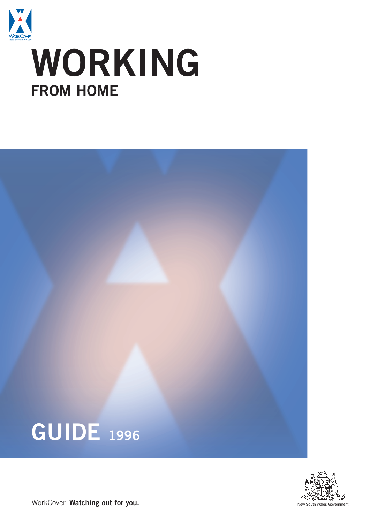

# **WORKING FROM HOME**





WorkCover. Watching out for you.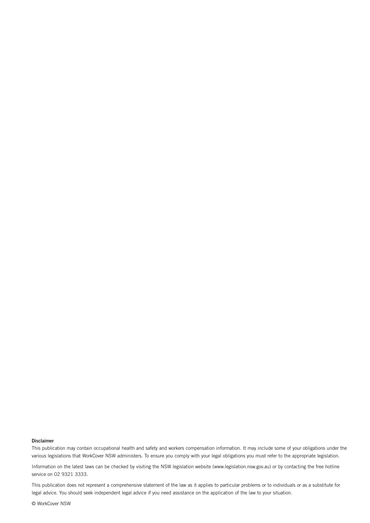#### **Disclaimer**

This publication may contain occupational health and safety and workers compensation information. It may include some of your obligations under the various legislations that WorkCover NSW administers. To ensure you comply with your legal obligations you must refer to the appropriate legislation.

Information on the latest laws can be checked by visiting the NSW legislation website (www.legislation.nsw.gov.au) or by contacting the free hotline service on 02 9321 3333.

This publication does not represent a comprehensive statement of the law as it applies to particular problems or to individuals or as a substitute for legal advice. You should seek independent legal advice if you need assistance on the application of the law to your situation.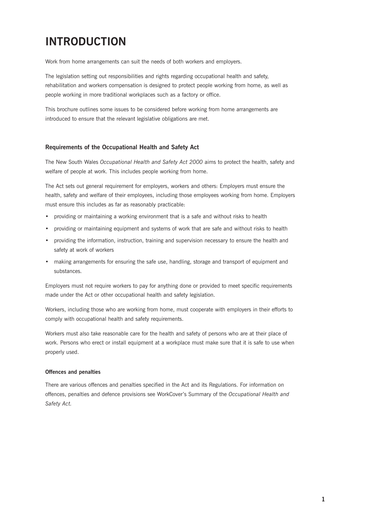# **INTRODUCTION**

Work from home arrangements can suit the needs of both workers and employers.

The legislation setting out responsibilities and rights regarding occupational health and safety, rehabilitation and workers compensation is designed to protect people working from home, as well as people working in more traditional workplaces such as a factory or office.

This brochure outlines some issues to be considered before working from home arrangements are introduced to ensure that the relevant legislative obligations are met.

## **Requirements of the Occupational Health and Safety Act**

The New South Wales *Occupational Health and Safety Act 2000* aims to protect the health, safety and welfare of people at work. This includes people working from home.

The Act sets out general requirement for employers, workers and others: Employers must ensure the health, safety and welfare of their employees, including those employees working from home. Employers must ensure this includes as far as reasonably practicable:

- providing or maintaining a working environment that is a safe and without risks to health
- providing or maintaining equipment and systems of work that are safe and without risks to health
- • providing the information, instruction, training and supervision necessary to ensure the health and safety at work of workers
- making arrangements for ensuring the safe use, handling, storage and transport of equipment and substances.

Employers must not require workers to pay for anything done or provided to meet specific requirements made under the Act or other occupational health and safety legislation.

Workers, including those who are working from home, must cooperate with employers in their efforts to comply with occupational health and safety requirements.

Workers must also take reasonable care for the health and safety of persons who are at their place of work. Persons who erect or install equipment at a workplace must make sure that it is safe to use when properly used.

### **Offences and penalties**

There are various offences and penalties specified in the Act and its Regulations. For information on offences, penalties and defence provisions see WorkCover's Summary of the *Occupational Health and Safety Act.*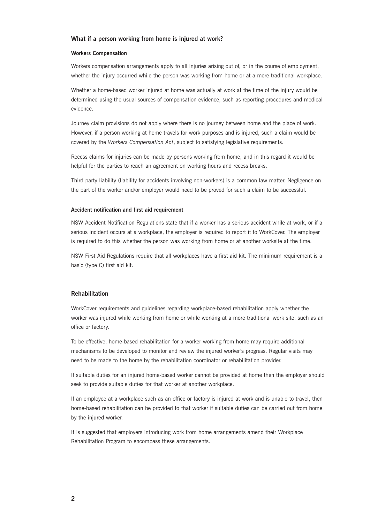#### **What if a person working from home is injured at work?**

#### **Workers Compensation**

Workers compensation arrangements apply to all injuries arising out of, or in the course of employment, whether the injury occurred while the person was working from home or at a more traditional workplace.

Whether a home-based worker injured at home was actually at work at the time of the injury would be determined using the usual sources of compensation evidence, such as reporting procedures and medical evidence.

Journey claim provisions do not apply where there is no journey between home and the place of work. However, if a person working at home travels for work purposes and is injured, such a claim would be covered by the *Workers Compensation Act*, subject to satisfying legislative requirements.

Recess claims for injuries can be made by persons working from home, and in this regard it would be helpful for the parties to reach an agreement on working hours and recess breaks.

Third party liability (liability for accidents involving non-workers) is a common law matter. Negligence on the part of the worker and/or employer would need to be proved for such a claim to be successful.

#### **Accident notification and first aid requirement**

NSW Accident Notification Regulations state that if a worker has a serious accident while at work, or if a serious incident occurs at a workplace, the employer is required to report it to WorkCover. The employer is required to do this whether the person was working from home or at another worksite at the time.

NSW First Aid Regulations require that all workplaces have a first aid kit. The minimum requirement is a basic (type C) first aid kit.

#### **Rehabilitation**

WorkCover requirements and guidelines regarding workplace-based rehabilitation apply whether the worker was injured while working from home or while working at a more traditional work site, such as an office or factory.

To be effective, home-based rehabilitation for a worker working from home may require additional mechanisms to be developed to monitor and review the injured worker's progress. Regular visits may need to be made to the home by the rehabilitation coordinator or rehabilitation provider.

If suitable duties for an injured home-based worker cannot be provided at home then the employer should seek to provide suitable duties for that worker at another workplace.

If an employee at a workplace such as an office or factory is injured at work and is unable to travel, then home-based rehabilitation can be provided to that worker if suitable duties can be carried out from home by the injured worker.

It is suggested that employers introducing work from home arrangements amend their Workplace Rehabilitation Program to encompass these arrangements.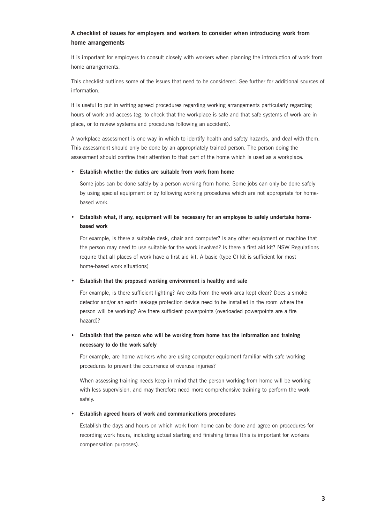# **A checklist of issues for employers and workers to consider when introducing work from home arrangements**

It is important for employers to consult closely with workers when planning the introduction of work from home arrangements.

This checklist outlines some of the issues that need to be considered. See further for additional sources of information.

It is useful to put in writing agreed procedures regarding working arrangements particularly regarding hours of work and access (eg. to check that the workplace is safe and that safe systems of work are in place, or to review systems and procedures following an accident).

A workplace assessment is one way in which to identify health and safety hazards, and deal with them. This assessment should only be done by an appropriately trained person. The person doing the assessment should confine their attention to that part of the home which is used as a workplace.

#### **• Establish whether the duties are suitable from work from home**

Some jobs can be done safely by a person working from home. Some jobs can only be done safely by using special equipment or by following working procedures which are not appropriate for homebased work.

# $\bullet$  Establish what, if any, equipment will be necessary for an employee to safely undertake home**based work**

For example, is there a suitable desk, chair and computer? Is any other equipment or machine that the person may need to use suitable for the work involved? Is there a first aid kit? NSW Regulations require that all places of work have a first aid kit. A basic (type C) kit is sufficient for most home-based work situations)

#### **• Establish that the proposed working environment is healthy and safe**

For example, is there sufficient lighting? Are exits from the work area kept clear? Does a smoke detector and/or an earth leakage protection device need to be installed in the room where the person will be working? Are there sufficient powerpoints (overloaded powerpoints are a fire hazard)?

# **• Establish that the person who will be working from home has the information and training necessary to do the work safely**

For example, are home workers who are using computer equipment familiar with safe working procedures to prevent the occurrence of overuse injuries?

When assessing training needs keep in mind that the person working from home will be working with less supervision, and may therefore need more comprehensive training to perform the work safely.

#### **• Establish agreed hours of work and communications procedures**

Establish the days and hours on which work from home can be done and agree on procedures for recording work hours, including actual starting and finishing times (this is important for workers compensation purposes).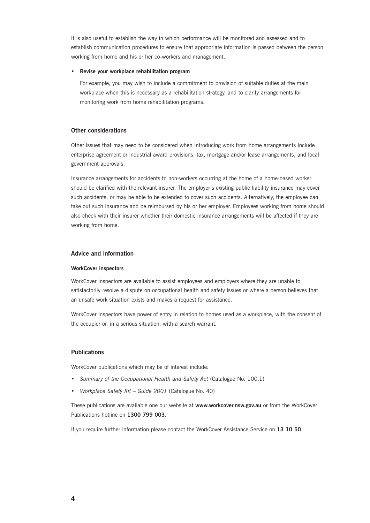It is also useful to establish the way in which performance will be monitored and assessed and to establish communication procedures to ensure that appropriate information is passed between the person working from home and his or her co-workers and management.

#### **• Revise your workplace rehabilitation program**

For example, you may wish to include a commitment to provision of suitable duties at the main workplace when this is necessary as a rehabilitation strategy, and to clarify arrangements for monitoring work from home rehabilitation programs.

#### **Other considerations**

Other issues that may need to be considered when introducing work from home arrangements include enterprise agreement or industrial award provisions, tax, mortgage and/or lease arrangements, and local government approvals.

Insurance arrangements for accidents to non-workers occurring at the home of a home-based worker should be clarified with the relevant insurer. The employer's existing public liability insurance may cover such accidents, or may be able to be extended to cover such accidents. Alternatively, the employee can take out such insurance and be reimbursed by his or her employer. Employees working from home should also check with their insurer whether their domestic insurance arrangements will be affected if they are working from home.

#### **Advice and information**

#### **WorkCover inspectors**

WorkCover inspectors are available to assist employees and employers where they are unable to satisfactorily resolve a dispute on occupational health and safety issues or where a person believes that an unsafe work situation exists and makes a request for assistance.

WorkCover inspectors have power of entry in relation to homes used as a workplace, with the consent of the occupier or, in a serious situation, with a search warrant.

#### **Publications**

WorkCover publications which may be of interest include:

- • *Summary of the Occupational Health and Safety Act* (Catalogue No. 100.1)
- • *Workplace Safety Kit Guide 2001* (Catalogue No. 40)

These publications are available one our website at **www.workcover.nsw.gov.au** or from the WorkCover Publications hotline on **1300 799 003**.

If you require further information please contact the WorkCover Assistance Service on **13 10 50**.